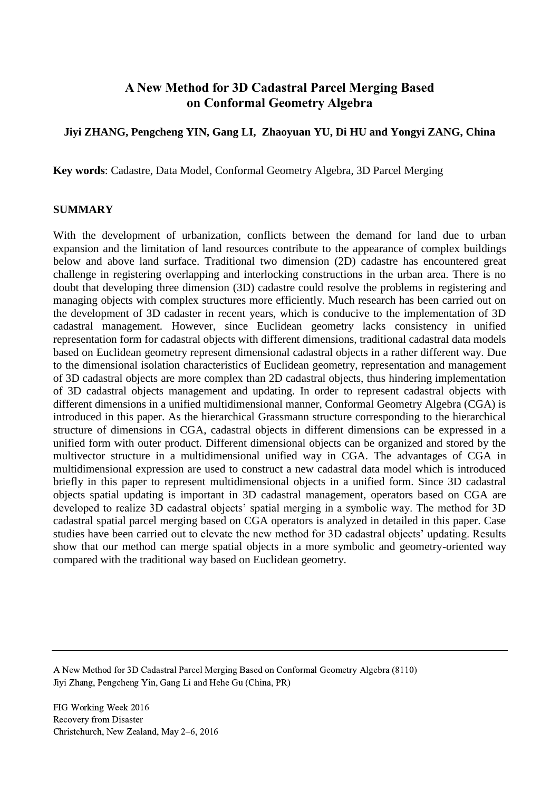# **A New Method for 3D Cadastral Parcel Merging Based on Conformal Geometry Algebra**

# **Jiyi ZHANG, Pengcheng YIN, Gang LI, Zhaoyuan YU, Di HU and Yongyi ZANG, China**

**Key words**: Cadastre, Data Model, Conformal Geometry Algebra, 3D Parcel Merging

### **SUMMARY**

With the development of urbanization, conflicts between the demand for land due to urban expansion and the limitation of land resources contribute to the appearance of complex buildings below and above land surface. Traditional two dimension (2D) cadastre has encountered great challenge in registering overlapping and interlocking constructions in the urban area. There is no doubt that developing three dimension (3D) cadastre could resolve the problems in registering and managing objects with complex structures more efficiently. Much research has been carried out on the development of 3D cadaster in recent years, which is conducive to the implementation of 3D cadastral management. However, since Euclidean geometry lacks consistency in unified representation form for cadastral objects with different dimensions, traditional cadastral data models based on Euclidean geometry represent dimensional cadastral objects in a rather different way. Due to the dimensional isolation characteristics of Euclidean geometry, representation and management of 3D cadastral objects are more complex than 2D cadastral objects, thus hindering implementation of 3D cadastral objects management and updating. In order to represent cadastral objects with different dimensions in a unified multidimensional manner, Conformal Geometry Algebra (CGA) is introduced in this paper. As the hierarchical Grassmann structure corresponding to the hierarchical structure of dimensions in CGA, cadastral objects in different dimensions can be expressed in a unified form with outer product. Different dimensional objects can be organized and stored by the multivector structure in a multidimensional unified way in CGA. The advantages of CGA in multidimensional expression are used to construct a new cadastral data model which is introduced briefly in this paper to represent multidimensional objects in a unified form. Since 3D cadastral objects spatial updating is important in 3D cadastral management, operators based on CGA are developed to realize 3D cadastral objects' spatial merging in a symbolic way. The method for 3D cadastral spatial parcel merging based on CGA operators is analyzed in detailed in this paper. Case studies have been carried out to elevate the new method for 3D cadastral objects' updating. Results show that our method can merge spatial objects in a more symbolic and geometry-oriented way compared with the traditional way based on Euclidean geometry.

A New Method for 3D Cadastral Parcel Merging Based on Conformal Geometry Algebra (8110) Jiyi Zhang, Pengcheng Yin, Gang Li and Hehe Gu (China, PR)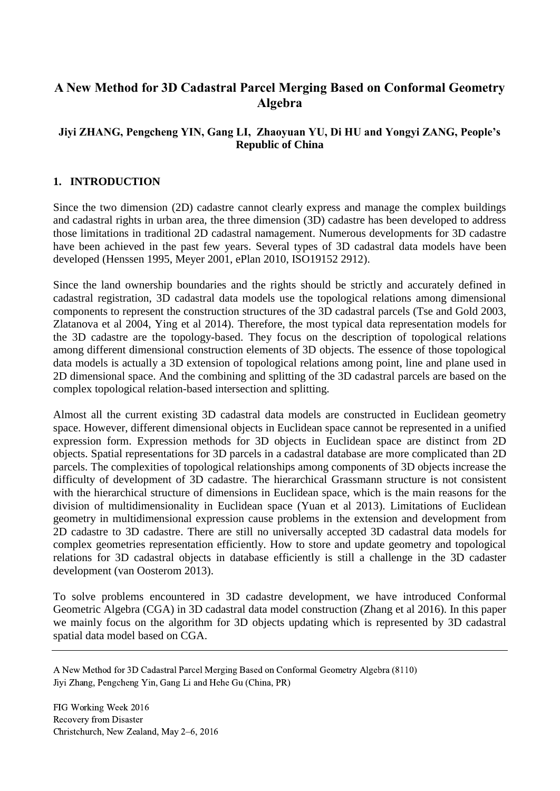# **A New Method for 3D Cadastral Parcel Merging Based on Conformal Geometry Algebra**

# **Jiyi ZHANG, Pengcheng YIN, Gang LI, Zhaoyuan YU, Di HU and Yongyi ZANG, People's Republic of China**

### **1. INTRODUCTION**

Since the two dimension (2D) cadastre cannot clearly express and manage the complex buildings and cadastral rights in urban area, the three dimension (3D) cadastre has been developed to address those limitations in traditional 2D cadastral namagement. Numerous developments for 3D cadastre have been achieved in the past few years. Several types of 3D cadastral data models have been developed (Henssen 1995, Meyer 2001, ePlan 2010, ISO19152 2912).

Since the land ownership boundaries and the rights should be strictly and accurately defined in cadastral registration, 3D cadastral data models use the topological relations among dimensional components to represent the construction structures of the 3D cadastral parcels (Tse and Gold 2003, Zlatanova et al 2004, Ying et al 2014). Therefore, the most typical data representation models for the 3D cadastre are the topology-based. They focus on the description of topological relations among different dimensional construction elements of 3D objects. The essence of those topological data models is actually a 3D extension of topological relations among point, line and plane used in 2D dimensional space. And the combining and splitting of the 3D cadastral parcels are based on the complex topological relation-based intersection and splitting.

Almost all the current existing 3D cadastral data models are constructed in Euclidean geometry space. However, different dimensional objects in Euclidean space cannot be represented in a unified expression form. Expression methods for 3D objects in Euclidean space are distinct from 2D objects. Spatial representations for 3D parcels in a cadastral database are more complicated than 2D parcels. The complexities of topological relationships among components of 3D objects increase the difficulty of development of 3D cadastre. The hierarchical Grassmann structure is not consistent with the hierarchical structure of dimensions in Euclidean space, which is the main reasons for the division of multidimensionality in Euclidean space (Yuan et al 2013). Limitations of Euclidean geometry in multidimensional expression cause problems in the extension and development from 2D cadastre to 3D cadastre. There are still no universally accepted 3D cadastral data models for complex geometries representation efficiently. How to store and update geometry and topological relations for 3D cadastral objects in database efficiently is still a challenge in the 3D cadaster development (van Oosterom 2013).

To solve problems encountered in 3D cadastre development, we have introduced Conformal Geometric Algebra (CGA) in 3D cadastral data model construction (Zhang et al 2016). In this paper we mainly focus on the algorithm for 3D objects updating which is represented by 3D cadastral spatial data model based on CGA.

A New Method for 3D Cadastral Parcel Merging Based on Conformal Geometry Algebra (8110) Jiyi Zhang, Pengcheng Yin, Gang Li and Hehe Gu (China, PR)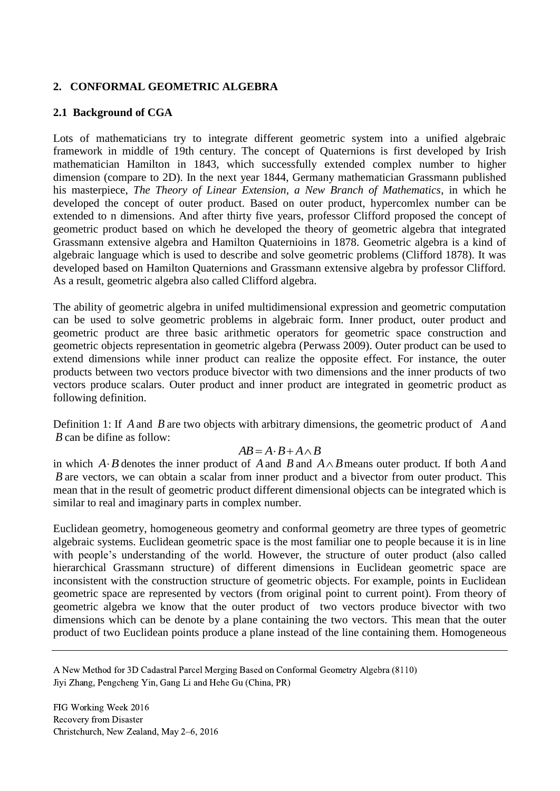# **2. CONFORMAL GEOMETRIC ALGEBRA**

# **2.1 Background of CGA**

Lots of mathematicians try to integrate different geometric system into a unified algebraic framework in middle of 19th century. The concept of Quaternions is first developed by Irish mathematician Hamilton in 1843, which successfully extended complex number to higher dimension (compare to 2D). In the next year 1844, Germany mathematician Grassmann published his masterpiece, *The Theory of Linear Extension, a New Branch of Mathematics*, in which he developed the concept of outer product. Based on outer product, hypercomlex number can be extended to n dimensions. And after thirty five years, professor Clifford proposed the concept of geometric product based on which he developed the theory of geometric algebra that integrated Grassmann extensive algebra and Hamilton Quaternioins in 1878. Geometric algebra is a kind of algebraic language which is used to describe and solve geometric problems (Clifford 1878). It was developed based on Hamilton Quaternions and Grassmann extensive algebra by professor Clifford. As a result, geometric algebra also called Clifford algebra.

The ability of geometric algebra in unifed multidimensional expression and geometric computation can be used to solve geometric problems in algebraic form. Inner product, outer product and geometric product are three basic arithmetic operators for geometric space construction and geometric objects representation in geometric algebra (Perwass 2009). Outer product can be used to extend dimensions while inner product can realize the opposite effect. For instance, the outer products between two vectors produce bivector with two dimensions and the inner products of two vectors produce scalars. Outer product and inner product are integrated in geometric product as following definition.

Definition 1: If A and B are two objects with arbitrary dimensions, the geometric product of A and *B* can be difine as follow:

### $AB = A \cdot B + A \wedge B$

in which  $A \cdot B$  denotes the inner product of A and B and  $A \wedge B$  means outer product. If both A and *B* are vectors, we can obtain a scalar from inner product and a bivector from outer product. This mean that in the result of geometric product different dimensional objects can be integrated which is similar to real and imaginary parts in complex number.

Euclidean geometry, homogeneous geometry and conformal geometry are three types of geometric algebraic systems. Euclidean geometric space is the most familiar one to people because it is in line with people's understanding of the world. However, the structure of outer product (also called hierarchical Grassmann structure) of different dimensions in Euclidean geometric space are inconsistent with the construction structure of geometric objects. For example, points in Euclidean geometric space are represented by vectors (from original point to current point). From theory of geometric algebra we know that the outer product of two vectors produce bivector with two dimensions which can be denote by a plane containing the two vectors. This mean that the outer product of two Euclidean points produce a plane instead of the line containing them. Homogeneous

A New Method for 3D Cadastral Parcel Merging Based on Conformal Geometry Algebra (8110) Jiyi Zhang, Pengcheng Yin, Gang Li and Hehe Gu (China, PR)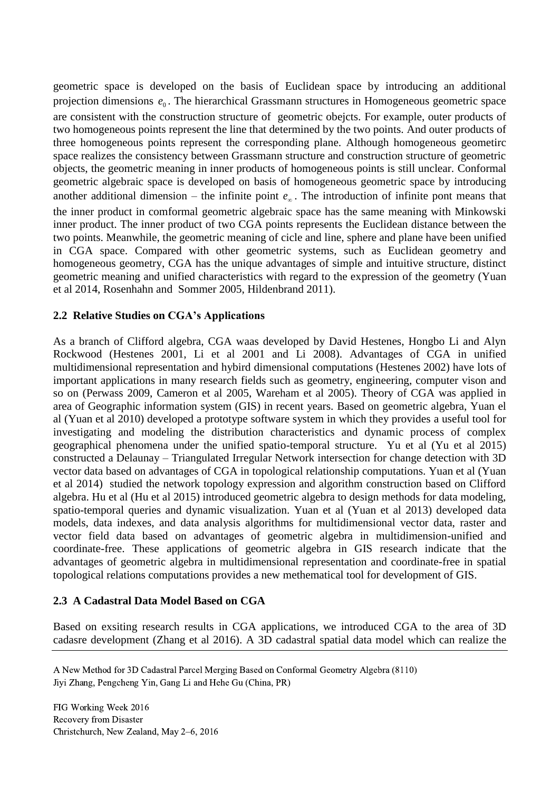geometric space is developed on the basis of Euclidean space by introducing an additional projection dimensions  $e_0$ . The hierarchical Grassmann structures in Homogeneous geometric space are consistent with the construction structure of geometric obejcts. For example, outer products of two homogeneous points represent the line that determined by the two points. And outer products of three homogeneous points represent the corresponding plane. Although homogeneous geometirc space realizes the consistency between Grassmann structure and construction structure of geometric objects, the geometric meaning in inner products of homogeneous points is still unclear. Conformal geometric algebraic space is developed on basis of homogeneous geometric space by introducing another additional dimension – the infinite point  $e_{\infty}$ . The introduction of infinite pont means that the inner product in comformal geometric algebraic space has the same meaning with Minkowski inner product. The inner product of two CGA points represents the Euclidean distance between the two points. Meanwhile, the geometric meaning of cicle and line, sphere and plane have been unified in CGA space. Compared with other geometric systems, such as Euclidean geometry and homogeneous geometry, CGA has the unique advantages of simple and intuitive structure, distinct geometric meaning and unified characteristics with regard to the expression of the geometry (Yuan et al 2014, Rosenhahn and Sommer 2005, Hildenbrand 2011).

# **2.2 Relative Studies on CGA's Applications**

As a branch of Clifford algebra, CGA waas developed by David Hestenes, Hongbo Li and Alyn Rockwood (Hestenes 2001, Li et al 2001 and Li 2008). Advantages of CGA in unified multidimensional representation and hybird dimensional computations (Hestenes 2002) have lots of important applications in many research fields such as geometry, engineering, computer vison and so on (Perwass 2009, Cameron et al 2005, Wareham et al 2005). Theory of CGA was applied in area of Geographic information system (GIS) in recent years. Based on geometric algebra, Yuan el al (Yuan et al 2010) developed a prototype software system in which they provides a useful tool for investigating and modeling the distribution characteristics and dynamic process of complex geographical phenomena under the unified spatio-temporal structure. Yu et al (Yu et al 2015) constructed a Delaunay – Triangulated Irregular Network intersection for change detection with 3D vector data based on advantages of CGA in topological relationship computations. Yuan et al (Yuan et al 2014) studied the network topology expression and algorithm construction based on Clifford algebra. Hu et al (Hu et al 2015) introduced geometric algebra to design methods for data modeling, spatio-temporal queries and dynamic visualization. Yuan et al (Yuan et al 2013) developed data models, data indexes, and data analysis algorithms for multidimensional vector data, raster and vector field data based on advantages of geometric algebra in multidimension-unified and coordinate-free. These applications of geometric algebra in GIS research indicate that the advantages of geometric algebra in multidimensional representation and coordinate-free in spatial topological relations computations provides a new methematical tool for development of GIS.

# **2.3 A Cadastral Data Model Based on CGA**

Based on exsiting research results in CGA applications, we introduced CGA to the area of 3D cadasre development (Zhang et al 2016). A 3D cadastral spatial data model which can realize the

A New Method for 3D Cadastral Parcel Merging Based on Conformal Geometry Algebra (8110) Jiyi Zhang, Pengcheng Yin, Gang Li and Hehe Gu (China, PR)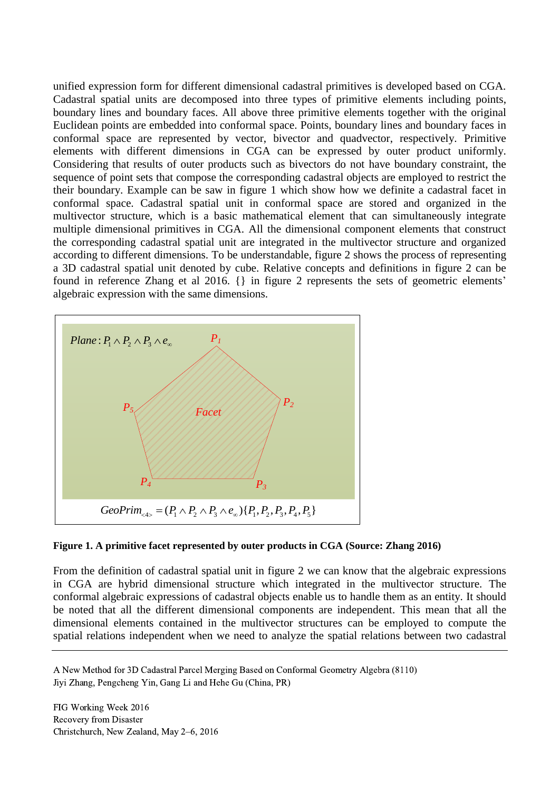unified expression form for different dimensional cadastral primitives is developed based on CGA. Cadastral spatial units are decomposed into three types of primitive elements including points, boundary lines and boundary faces. All above three primitive elements together with the original Euclidean points are embedded into conformal space. Points, boundary lines and boundary faces in conformal space are represented by vector, bivector and quadvector, respectively. Primitive elements with different dimensions in CGA can be expressed by outer product uniformly. Considering that results of outer products such as bivectors do not have boundary constraint, the sequence of point sets that compose the corresponding cadastral objects are employed to restrict the their boundary. Example can be saw in figure 1 which show how we definite a cadastral facet in conformal space. Cadastral spatial unit in conformal space are stored and organized in the multivector structure, which is a basic mathematical element that can simultaneously integrate multiple dimensional primitives in CGA. All the dimensional component elements that construct the corresponding cadastral spatial unit are integrated in the multivector structure and organized according to different dimensions. To be understandable, figure 2 shows the process of representing a 3D cadastral spatial unit denoted by cube. Relative concepts and definitions in figure 2 can be found in reference Zhang et al 2016. {} in figure 2 represents the sets of geometric elements'



### **Figure 1. A primitive facet represented by outer products in CGA (Source: Zhang 2016)**

From the definition of cadastral spatial unit in figure 2 we can know that the algebraic expressions in CGA are hybrid dimensional structure which integrated in the multivector structure. The conformal algebraic expressions of cadastral objects enable us to handle them as an entity. It should be noted that all the different dimensional components are independent. This mean that all the dimensional elements contained in the multivector structures can be employed to compute the spatial relations independent when we need to analyze the spatial relations between two cadastral

A New Method for 3D Cadastral Parcel Merging Based on Conformal Geometry Algebra (8110) Jiyi Zhang, Pengcheng Yin, Gang Li and Hehe Gu (China, PR)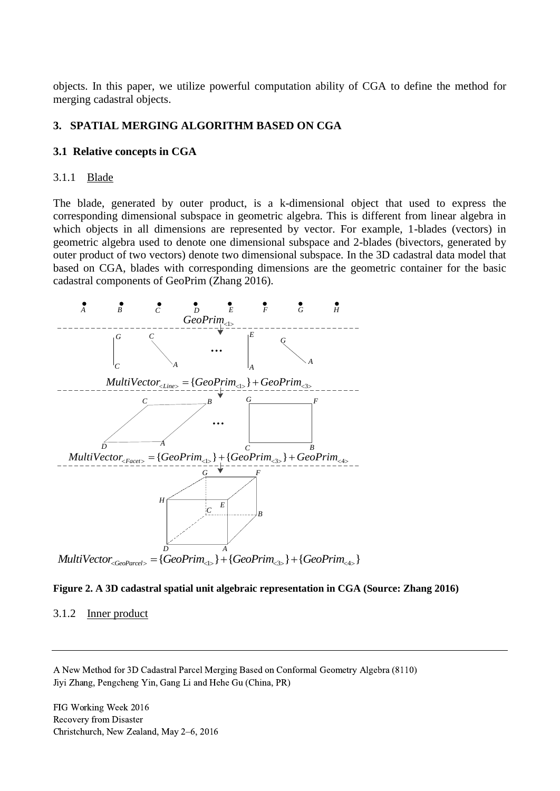objects. In this paper, we utilize powerful computation ability of CGA to define the method for merging cadastral objects.

### **3. SPATIAL MERGING ALGORITHM BASED ON CGA**

#### **3.1 Relative concepts in CGA**

#### 3.1.1 Blade

The blade, generated by outer product, is a k-dimensional object that used to express the corresponding dimensional subspace in geometric algebra. This is different from linear algebra in which objects in all dimensions are represented by vector. For example, 1-blades (vectors) in geometric algebra used to denote one dimensional subspace and 2-blades (bivectors, generated by outer product of two vectors) denote two dimensional subspace. In the 3D cadastral data model that based on CGA, blades with corresponding dimensions are the geometric container for the basic cadastral components of GeoPrim (Zhang 2016).





#### 3.1.2 Inner product

A New Method for 3D Cadastral Parcel Merging Based on Conformal Geometry Algebra (8110) Jiyi Zhang, Pengcheng Yin, Gang Li and Hehe Gu (China, PR)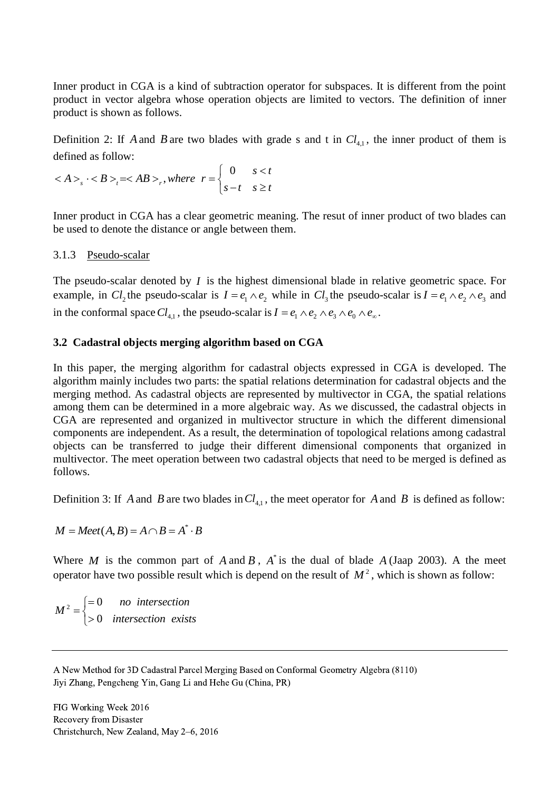Inner product in CGA is a kind of subtraction operator for subspaces. It is different from the point product in vector algebra whose operation objects are limited to vectors. The definition of inner product is shown as follows.

Definition 2: If A and B are two blades with grade s and t in  $Cl_{4,1}$ , the inner product of them is defined as follow:

defined as follow:  

$$
\langle A \rangle_s \cdot \langle B \rangle_t = \langle AB \rangle_t, where \ r = \begin{cases} 0 & s < t \\ s - t & s \ge t \end{cases}
$$

Inner product in CGA has a clear geometric meaning. The resut of inner product of two blades can be used to denote the distance or angle between them.

### 3.1.3 Pseudo-scalar

The pseudo-scalar denoted by *I* is the highest dimensional blade in relative geometric space. For example, in  $Cl_2$  the pseudo-scalar is  $I = e_1 \wedge e_2$  while in  $Cl_3$  the pseudo-scalar is  $I = e_1 \wedge e_2 \wedge e_3$  and in the conformal space  $Cl_{4,1}$ , the pseudo-scalar is  $I = e_1 \wedge e_2 \wedge e_3 \wedge e_0 \wedge e_{\infty}$ .

### **3.2 Cadastral objects merging algorithm based on CGA**

In this paper, the merging algorithm for cadastral objects expressed in CGA is developed. The algorithm mainly includes two parts: the spatial relations determination for cadastral objects and the merging method. As cadastral objects are represented by multivector in CGA, the spatial relations among them can be determined in a more algebraic way. As we discussed, the cadastral objects in CGA are represented and organized in multivector structure in which the different dimensional components are independent. As a result, the determination of topological relations among cadastral objects can be transferred to judge their different dimensional components that organized in multivector. The meet operation between two cadastral objects that need to be merged is defined as follows.

Definition 3: If A and B are two blades in  $Cl_{4,1}$ , the meet operator for A and B is defined as follow:

 $M = Meet(A, B) = A \cap B = A^* \cdot B$ 

Where *M* is the common part of *A* and *B*,  $A^*$  is the dual of blade *A* (Jaap 2003). A the meet operator have two possible result which is depend on the result of  $M^2$ , which is shown as follow:

 $\frac{1}{2}$   $\Big| = 0$ 0  $M^2 = \begin{cases} = 0 & no \text{ intersection} \\ > 0 & intersection \text{ exists} \end{cases}$  $=\{$  $\left\vert \right\rangle$ 

A New Method for 3D Cadastral Parcel Merging Based on Conformal Geometry Algebra (8110) Jiyi Zhang, Pengcheng Yin, Gang Li and Hehe Gu (China, PR)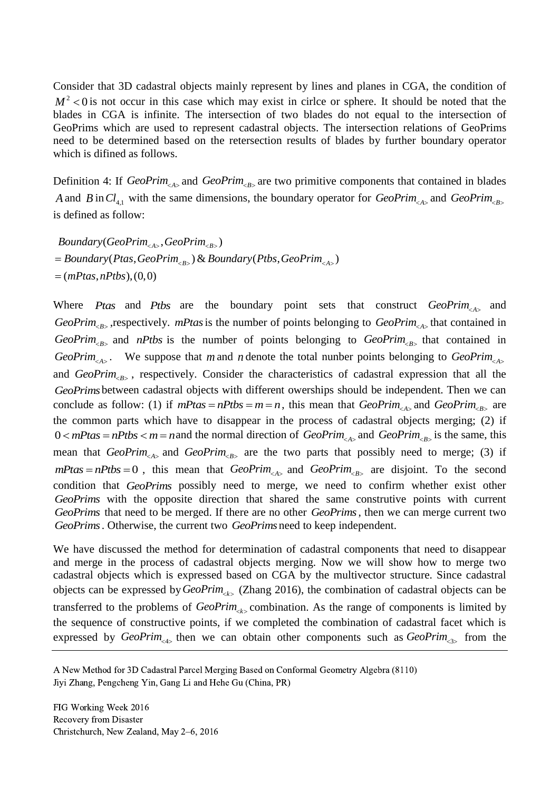Consider that 3D cadastral objects mainly represent by lines and planes in CGA, the condition of  $M^2$  < 0 is not occur in this case which may exist in cirlce or sphere. It should be noted that the blades in CGA is infinite. The intersection of two blades do not equal to the intersection of GeoPrims which are used to represent cadastral objects. The intersection relations of GeoPrims need to be determined based on the retersection results of blades by further boundary operator which is difined as follows.

Definition 4: If  $GeoPrim_{\leq A>}$  and  $GeoPrim_{\leq B>}$  are two primitive components that contained in blades *A* and *B* in  $Cl_{4,1}$  with the same dimensions, the boundary operator for  $GeoPrim_{\leq A>}$  and  $GeoPrim_{\leq B>}$ is defined as follow:

s defined as follow:<br>*Boundary* (*GeoPrim<sub><A></sub>*, *GeoPrim<sub><B></sub>*) GeoPrim<sub><A></sub>,GeoPrim<sub><B></sub>)<br>(Ptas,GeoPrim<sub><B></sub>)&Boundary(Ptbs,GeoPrim<sub><A></sub>) <sup>2</sup> *Boundary* (*GeoPrim<sub><A></sub>* , *GeoPrim<sub><B></sub>* )<br> *Boundary* (Ptas , *GeoPrim<sub><B></sub>* ) & *Boundary* (Ptbs , *GeoPrim<sub><A</sub>* (*mPtas , nPtbs* ) , (0,0) *Boundary*(GeoPrim<sub><A></sub>,GeoPrim<sub><B></sub>)<br>= Boundary(Ptas,GeoPrim<sub><B></sub>)& Boundary(Ptbs,GeoPrim<sub><A></sub>)<br>= (mPtas,nPtbs), (0,0)  $=$  (*mPtas, nPtbs*), (0,0)

Where *Ptas* and *Ptbs* are the boundary point sets that construct *GeoPrim*<sub> $\epsilon_{AB}$ </sub> and *GeoPrim*<sub> $\epsilon_{B}$ </sub>, respectively. *mPtas* is the number of points belonging to *GeoPrim*<sub> $\epsilon_{A}$ </sub> that contained in GeoPrim<sub> $\epsilon_{B}$ </sub> and *nPtbs* is the number of points belonging to GeoPrim<sub> $\epsilon_{B}$ </sub> that contained in *GeoPrim*<sub> $\leq A$ </sub>. We suppose that *m* and *n* denote the total nunber points belonging to *GeoPrim*<sub> $\leq A$ </sub> and GeoPrim<sub><B></sub>, respectively. Consider the characteristics of cadastral expression that all the *GeoPrims* between cadastral objects with different owerships should be independent. Then we can conclude as follow: (1) if  $mPtas = nPths = m = n$ , this mean that  $GeoPrim_{\leq A>}$  and  $GeoPrim_{\leq B>}$  are the common parts which have to disappear in the process of cadastral objects merging; (2) if  $0 < mP$  tas  $m = n$  and the normal direction of  $GeoPrim_{\leq A>}$  and  $GeoPrim_{\leq B>}$  is the same, this mean that *GeoPrim*<sub> $\leq A$ </sub> and *GeoPrim*<sub> $\leq B$ </sub> are the two parts that possibly need to merge; (3) if  $mP$ tas =  $nP$ tbs = 0, this mean that  $GeoPrim_{\leq A>}$  and  $GeoPrim_{\leq B>}$  are disjoint. To the second condition that *GeoPrims* possibly need to merge, we need to confirm whether exist other *GeoPrims* with the opposite direction that shared the same construtive points with current *GeoPrims* that need to be merged. If there are no other *GeoPrims* , then we can merge current two *GeoPrims* . Otherwise, the current two *GeoPrims* need to keep independent.

We have discussed the method for determination of cadastral components that need to disappear and merge in the process of cadastral objects merging. Now we will show how to merge two cadastral objects which is expressed based on CGA by the multivector structure. Since cadastral objects can be expressed by *GeoPrim*<sub><k></sub> (Zhang 2016), the combination of cadastral objects can be transferred to the problems of  $GeoPrim_{\leq k>}$  combination. As the range of components is limited by the sequence of constructive points, if we completed the combination of cadastral facet which is expressed by  $GeoPrim_{\leq 4>}$  then we can obtain other components such as  $GeoPrim_{\leq 3>}$  from the

A New Method for 3D Cadastral Parcel Merging Based on Conformal Geometry Algebra (8110) Jiyi Zhang, Pengcheng Yin, Gang Li and Hehe Gu (China, PR)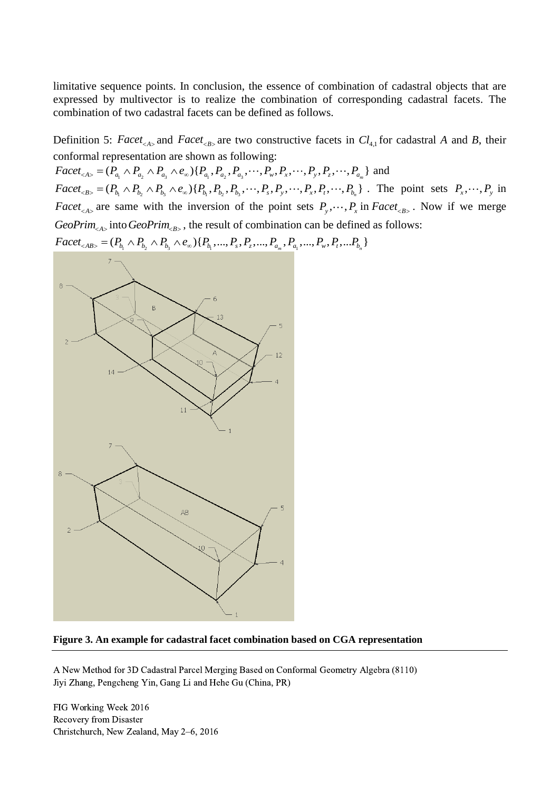limitative sequence points. In conclusion, the essence of combination of cadastral objects that are expressed by multivector is to realize the combination of corresponding cadastral facets. The combination of two cadastral facets can be defined as follows.

Definition 5: *Facet*<sub><A></sub> and *Facet*<sub><B></sub> are two constructive facets in  $Cl_{4,1}$  for cadastral A and B, their conformal representation are shown as following: Definition 5: *Facet<sub><A></sub>* and *Facet<sub><B></sub>* are two constructive facets in *Cl* conformal representation are shown as following:<br> *Facet<sub><A></sub>* =  $(P_{a_1} \wedge P_{a_2} \wedge P_{a_3} \wedge e_{\infty}) \{P_{a_1}, P_{a_2}, P_{a_3}, \cdots, P_{w}, P_{x}, \cdots, P_{y}, P_{$ 

and conformal representation are shown as following:<br> *Facet*<sub><A></sub> = ( $P_{a_1} \wedge P_{a_2} \wedge P_{a_3} \wedge e_{\infty}$ ){ $P_{a_1}, P_{a_2}, P_{a_3}, \cdots, P_{w}, P_{x}, \cdots, P_{y}, P_{z}, \cdots, P_{a_m}$ } and<br> *Facet*<sub><B></sub> = ( $P_{b_1} \wedge P_{b_2} \wedge P_{b_3} \wedge e_{\infty}$ ){ $P_{b_$ mal representation are shown as following:<br>  ${}_{A>} = (P_{a_1} \wedge P_{a_2} \wedge P_{a_3} \wedge e_{\infty}) \{P_{a_1}, P_{a_2}, P_{a_3}, \cdots, P_{w}, P_{x}, \cdots, P_{y}, P_{z}, \cdots, P_{a_m}\}$   ${}_{B>} = (P_{b_1} \wedge P_{b_2} \wedge P_{b_3} \wedge e_{\infty}) \{P_{b_1}, P_{b_2}, P_{b_3}, \cdots, P_{s}, P_{y}, \cdots, P_{x},$  $P_x, \dots, P_y$  in *Facet*<sub><A></sub> are same with the inversion of the point sets  $P_y$ ,  $\cdots$ ,  $P_x$  in *Facet*<sub><B></sub>. Now if we merge *GeoPrim*<sub> $\langle A \rangle$ </sub> into *GeoPrim*<sub> $\langle B \rangle$ </sub>, the result of combination can be defined as follows: *Facet<sub><A></sub>* are same with the inversion of the point sets  $P_y, \dots, P_x$  in  $GeoPrim_{\leq A>}$  into  $GeoPrim_{\leq B>}$ , the result of combination can be defined  $Face_{\leq AB>} = (P_{b_1} \wedge P_{b_2} \wedge P_{b_3} \wedge e_{\infty}) \{P_{b_1}, ..., P_s, P_z, ..., P_{a_m}, P_{a_1}, ..., P_w, P_t, ..., P$ 



#### **Figure 3. An example for cadastral facet combination based on CGA representation**

A New Method for 3D Cadastral Parcel Merging Based on Conformal Geometry Algebra (8110) Jiyi Zhang, Pengcheng Yin, Gang Li and Hehe Gu (China, PR)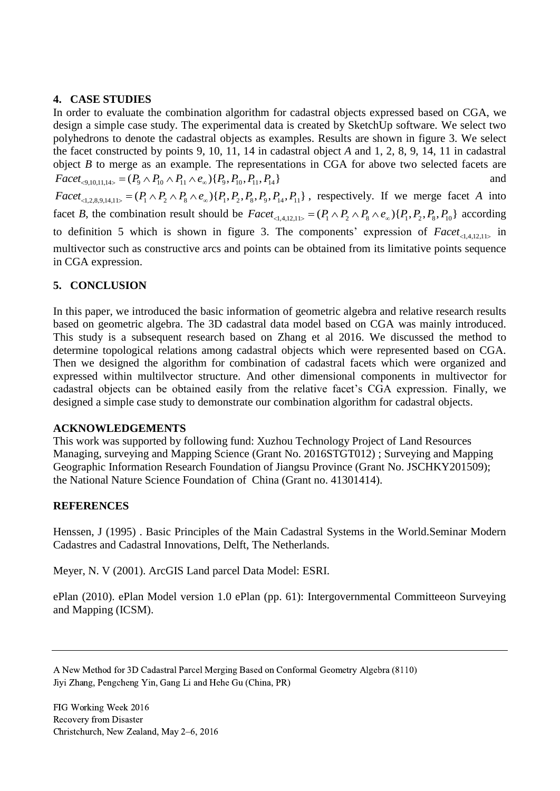# **4. CASE STUDIES**

In order to evaluate the combination algorithm for cadastral objects expressed based on CGA, we design a simple case study. The experimental data is created by SketchUp software. We select two polyhedrons to denote the cadastral objects as examples. Results are shown in figure 3. We select the facet constructed by points 9, 10, 11, 14 in cadastral object *A* and 1, 2, 8, 9, 14, 11 in cadastral object *B* to merge as an example. The representations in CGA for above two selected facets are  $Facet_{\leq 9,10,11,14>} = (P_9 \wedge P_{10} \wedge P_{11} \wedge e_{\infty}) \{P_9, P_{10}, P_{11}, P_{14}\}$ and by ect *B* to merge as an example. The representations in CGA for above two selected facets are <br>
Facet<sub>-9,10,11,14></sub> = ( $P_9 \wedge P_{10} \wedge P_{11} \wedge e_{\infty}$ ){ $P_9, P_{10}, P_{11}, P_{14}$ } and<br>
Facet<sub>-1,2,8,9,14,11></sub> = ( $P_1 \wedge P_2 \wedge P$ facet *B*, the combination result should be  $Facet_{\leq 1.412 \text{ lb}} = (P_1 \wedge P_2 \wedge P_8 \wedge e_{\infty}) \{P_1, P_2, P_8, P_{10}\}$  according to definition 5 which is shown in figure 3. The components' expression of  $Facet_{\leq 1,4,12,11>}$  in multivector such as constructive arcs and points can be obtained from its limitative points sequence

# **5. CONCLUSION**

in CGA expression.

In this paper, we introduced the basic information of geometric algebra and relative research results based on geometric algebra. The 3D cadastral data model based on CGA was mainly introduced. This study is a subsequent research based on Zhang et al 2016. We discussed the method to determine topological relations among cadastral objects which were represented based on CGA. Then we designed the algorithm for combination of cadastral facets which were organized and expressed within multilvector structure. And other dimensional components in multivector for cadastral objects can be obtained easily from the relative facet's CGA expression. Finally, we designed a simple case study to demonstrate our combination algorithm for cadastral objects.

# **ACKNOWLEDGEMENTS**

This work was supported by following fund: Xuzhou Technology Project of Land Resources Managing, surveying and Mapping Science (Grant No. 2016STGT012) ; Surveying and Mapping Geographic Information Research Foundation of Jiangsu Province (Grant No. JSCHKY201509); the National Nature Science Foundation of China (Grant no. 41301414).

# **REFERENCES**

Henssen, J (1995) . Basic Principles of the Main Cadastral Systems in the World.Seminar Modern Cadastres and Cadastral Innovations, Delft, The Netherlands.

Meyer, N. V (2001). ArcGIS Land parcel Data Model: ESRI.

ePlan (2010). ePlan Model version 1.0 ePlan (pp. 61): Intergovernmental Committeeon Surveying and Mapping (ICSM).

A New Method for 3D Cadastral Parcel Merging Based on Conformal Geometry Algebra (8110) Jiyi Zhang, Pengcheng Yin, Gang Li and Hehe Gu (China, PR)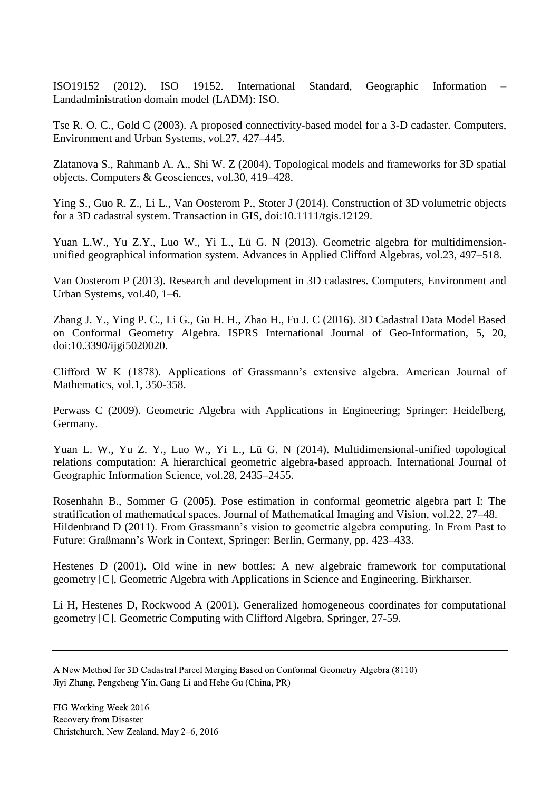ISO19152 (2012). ISO 19152. International Standard, Geographic Information – Landadministration domain model (LADM): ISO.

Tse R. O. C., Gold C (2003). A proposed connectivity-based model for a 3-D cadaster. Computers, Environment and Urban Systems, vol.27, 427–445.

Zlatanova S., Rahmanb A. A., Shi W. Z (2004). Topological models and frameworks for 3D spatial objects. Computers & Geosciences, vol.30, 419–428.

Ying S., Guo R. Z., Li L., Van Oosterom P., Stoter J (2014). Construction of 3D volumetric objects for a 3D cadastral system. Transaction in GIS, doi:10.1111/tgis.12129.

Yuan L.W., Yu Z.Y., Luo W., Yi L., Lü G. N (2013). Geometric algebra for multidimensionunified geographical information system. Advances in Applied Clifford Algebras, vol.23, 497–518.

Van Oosterom P (2013). Research and development in 3D cadastres. Computers, Environment and Urban Systems, vol.40, 1–6.

Zhang J. Y., Ying P. C., Li G., Gu H. H., Zhao H., Fu J. C (2016). 3D Cadastral Data Model Based on Conformal Geometry Algebra. ISPRS International Journal of Geo-Information, 5, 20, doi:10.3390/ijgi5020020.

Clifford W K (1878). Applications of Grassmann's extensive algebra. American Journal of Mathematics, vol.1, 350-358.

Perwass C (2009). Geometric Algebra with Applications in Engineering; Springer: Heidelberg, Germany.

Yuan L. W., Yu Z. Y., Luo W., Yi L., Lü G. N (2014). Multidimensional-unified topological relations computation: A hierarchical geometric algebra-based approach. International Journal of Geographic Information Science, vol.28, 2435–2455.

Rosenhahn B., Sommer G (2005). Pose estimation in conformal geometric algebra part I: The stratification of mathematical spaces. Journal of Mathematical Imaging and Vision, vol.22, 27–48. Hildenbrand D (2011). From Grassmann's vision to geometric algebra computing. In From Past to Future: Graßmann's Work in Context, Springer: Berlin, Germany, pp. 423–433.

Hestenes D (2001). Old wine in new bottles: A new algebraic framework for computational geometry [C], Geometric Algebra with Applications in Science and Engineering. Birkharser.

Li H, Hestenes D, Rockwood A (2001). Generalized homogeneous coordinates for computational geometry [C]. Geometric Computing with Clifford Algebra, Springer, 27-59.

A New Method for 3D Cadastral Parcel Merging Based on Conformal Geometry Algebra (8110) Jiyi Zhang, Pengcheng Yin, Gang Li and Hehe Gu (China, PR)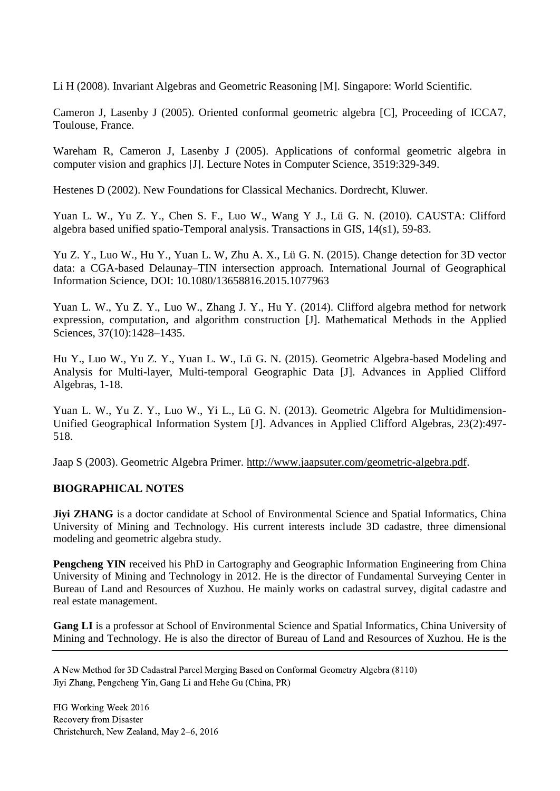Li H (2008). Invariant Algebras and Geometric Reasoning [M]. Singapore: World Scientific.

Cameron J, Lasenby J (2005). Oriented conformal geometric algebra [C], Proceeding of ICCA7, Toulouse, France.

Wareham R, Cameron J, Lasenby J (2005). Applications of conformal geometric algebra in computer vision and graphics [J]. Lecture Notes in Computer Science, 3519:329-349.

Hestenes D (2002). New Foundations for Classical Mechanics. Dordrecht, Kluwer.

Yuan L. W., Yu Z. Y., Chen S. F., Luo W., Wang Y J., Lü G. N. (2010). CAUSTA: Clifford algebra based unified spatio-Temporal analysis. Transactions in GIS, 14(s1), 59-83.

Yu Z. Y., Luo W., Hu Y., Yuan L. W, Zhu A. X., Lü G. N. (2015). Change detection for 3D vector data: a CGA-based Delaunay–TIN intersection approach. International Journal of Geographical Information Science, DOI: 10.1080/13658816.2015.1077963

Yuan L. W., Yu Z. Y., Luo W., Zhang J. Y., Hu Y. (2014). Clifford algebra method for network expression, computation, and algorithm construction [J]. Mathematical Methods in the Applied Sciences, 37(10):1428-1435.

Hu Y., Luo W., Yu Z. Y., Yuan L. W., Lü G. N. (2015). Geometric Algebra-based Modeling and Analysis for Multi-layer, Multi-temporal Geographic Data [J]. Advances in Applied Clifford Algebras, 1-18.

Yuan L. W., Yu Z. Y., Luo W., Yi L., Lü G. N. (2013). Geometric Algebra for Multidimension-Unified Geographical Information System [J]. Advances in Applied Clifford Algebras, 23(2):497- 518.

Jaap S (2003). Geometric Algebra Primer. [http://www.jaapsuter.com/geometric-algebra.pdf.](http://www.jaapsuter.com/geometric-algebra.pdf)

# **BIOGRAPHICAL NOTES**

**Jiyi ZHANG** is a doctor candidate at School of Environmental Science and Spatial Informatics, China University of Mining and Technology. His current interests include 3D cadastre, three dimensional modeling and geometric algebra study.

**Pengcheng YIN** received his PhD in Cartography and Geographic Information Engineering from China University of Mining and Technology in 2012. He is the director of Fundamental Surveying Center in Bureau of Land and Resources of Xuzhou. He mainly works on cadastral survey, digital cadastre and real estate management.

**Gang LI** is a professor at School of Environmental Science and Spatial Informatics, China University of Mining and Technology. He is also the director of Bureau of Land and Resources of Xuzhou. He is the

A New Method for 3D Cadastral Parcel Merging Based on Conformal Geometry Algebra (8110) Jiyi Zhang, Pengcheng Yin, Gang Li and Hehe Gu (China, PR)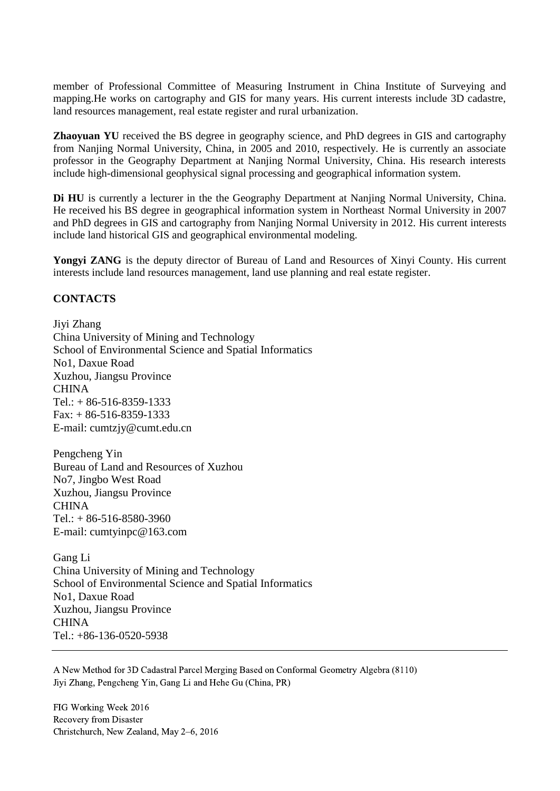member of Professional Committee of Measuring Instrument in China Institute of Surveying and mapping.He works on cartography and GIS for many years. His current interests include 3D cadastre, land resources management, real estate register and rural urbanization.

**Zhaoyuan YU** received the BS degree in geography science, and PhD degrees in GIS and cartography from Nanjing Normal University, China, in 2005 and 2010, respectively. He is currently an associate professor in the Geography Department at Nanjing Normal University, China. His research interests include high-dimensional geophysical signal processing and geographical information system.

**Di HU** is currently a lecturer in the the Geography Department at Nanjing Normal University, China. He received his BS degree in geographical information system in Northeast Normal University in 2007 and PhD degrees in GIS and cartography from Nanjing Normal University in 2012. His current interests include land historical GIS and geographical environmental modeling.

**Yongyi ZANG** is the deputy director of Bureau of Land and Resources of Xinyi County. His current interests include land resources management, land use planning and real estate register.

### **CONTACTS**

Jiyi Zhang China University of Mining and Technology School of Environmental Science and Spatial Informatics No1, Daxue Road Xuzhou, Jiangsu Province CHINA  $Tel.: + 86-516-8359-1333$ Fax: + 86-516-8359-1333 E-mail: cumtzjy@cumt.edu.cn

Pengcheng Yin Bureau of Land and Resources of Xuzhou No7, Jingbo West Road Xuzhou, Jiangsu Province **CHINA** Tel.: + 86-516-8580-3960 E-mail: cumtyinpc@163.com

Gang Li China University of Mining and Technology School of Environmental Science and Spatial Informatics No1, Daxue Road Xuzhou, Jiangsu Province CHINA Tel.: +86-136-0520-5938

A New Method for 3D Cadastral Parcel Merging Based on Conformal Geometry Algebra (8110) Jiyi Zhang, Pengcheng Yin, Gang Li and Hehe Gu (China, PR)